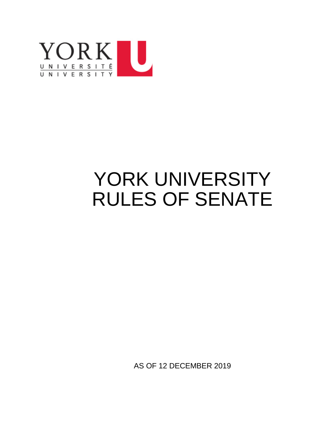

# YORK UNIVERSITY RULES OF SENATE

AS OF 12 DECEMBER 2019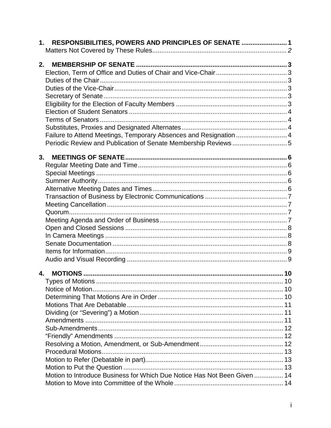| 1. RESPONSIBILITIES, POWERS AND PRINCIPLES OF SENATE  1                  |  |
|--------------------------------------------------------------------------|--|
|                                                                          |  |
| 2.                                                                       |  |
|                                                                          |  |
|                                                                          |  |
|                                                                          |  |
|                                                                          |  |
|                                                                          |  |
|                                                                          |  |
|                                                                          |  |
|                                                                          |  |
| Failure to Attend Meetings, Temporary Absences and Resignation  4        |  |
| Periodic Review and Publication of Senate Membership Reviews5            |  |
|                                                                          |  |
| 3.                                                                       |  |
|                                                                          |  |
|                                                                          |  |
|                                                                          |  |
|                                                                          |  |
|                                                                          |  |
|                                                                          |  |
|                                                                          |  |
|                                                                          |  |
|                                                                          |  |
|                                                                          |  |
|                                                                          |  |
|                                                                          |  |
|                                                                          |  |
|                                                                          |  |
|                                                                          |  |
|                                                                          |  |
|                                                                          |  |
|                                                                          |  |
|                                                                          |  |
|                                                                          |  |
|                                                                          |  |
|                                                                          |  |
|                                                                          |  |
|                                                                          |  |
|                                                                          |  |
|                                                                          |  |
| Motion to Introduce Business for Which Due Notice Has Not Been Given  14 |  |
|                                                                          |  |
|                                                                          |  |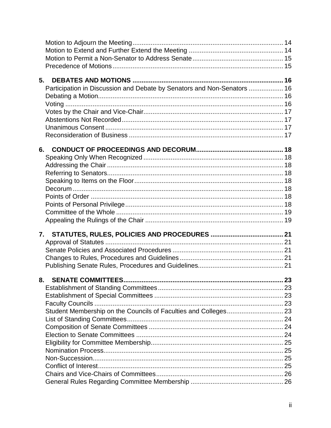| 5. |                                                                         |  |
|----|-------------------------------------------------------------------------|--|
|    | Participation in Discussion and Debate by Senators and Non-Senators  16 |  |
|    |                                                                         |  |
|    |                                                                         |  |
|    |                                                                         |  |
|    |                                                                         |  |
|    |                                                                         |  |
|    |                                                                         |  |
|    |                                                                         |  |
|    | 6.                                                                      |  |
|    |                                                                         |  |
|    |                                                                         |  |
|    |                                                                         |  |
|    |                                                                         |  |
|    |                                                                         |  |
|    |                                                                         |  |
|    |                                                                         |  |
|    |                                                                         |  |
|    |                                                                         |  |
|    |                                                                         |  |
|    |                                                                         |  |
|    | 7.                                                                      |  |
|    |                                                                         |  |
|    |                                                                         |  |
|    |                                                                         |  |
|    |                                                                         |  |
|    |                                                                         |  |
| 8. |                                                                         |  |
|    |                                                                         |  |
|    |                                                                         |  |
|    |                                                                         |  |
|    |                                                                         |  |
|    |                                                                         |  |
|    |                                                                         |  |
|    |                                                                         |  |
|    |                                                                         |  |
|    |                                                                         |  |
|    |                                                                         |  |
|    |                                                                         |  |
|    |                                                                         |  |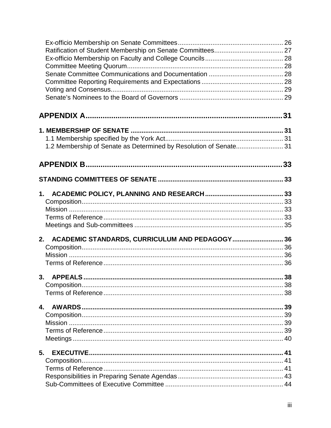| 1.2 Membership of Senate as Determined by Resolution of Senate 31 |  |
|-------------------------------------------------------------------|--|
|                                                                   |  |
|                                                                   |  |
|                                                                   |  |
|                                                                   |  |
|                                                                   |  |
|                                                                   |  |
|                                                                   |  |
| 2. ACADEMIC STANDARDS, CURRICULUM AND PEDAGOGY 36                 |  |
|                                                                   |  |
|                                                                   |  |
|                                                                   |  |
|                                                                   |  |
|                                                                   |  |
|                                                                   |  |
| 4.                                                                |  |
|                                                                   |  |
|                                                                   |  |
|                                                                   |  |
|                                                                   |  |
| 5.                                                                |  |
|                                                                   |  |
|                                                                   |  |
|                                                                   |  |
|                                                                   |  |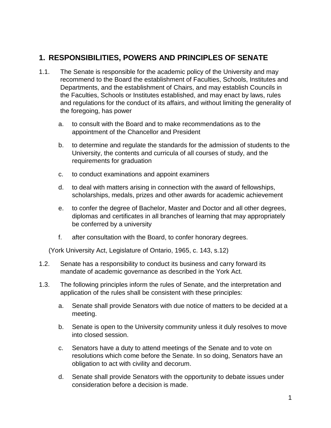# <span id="page-5-0"></span>**1. RESPONSIBILITIES, POWERS AND PRINCIPLES OF SENATE**

- 1.1. The Senate is responsible for the academic policy of the University and may recommend to the Board the establishment of Faculties, Schools, Institutes and Departments, and the establishment of Chairs, and may establish Councils in the Faculties, Schools or Institutes established, and may enact by laws, rules and regulations for the conduct of its affairs, and without limiting the generality of the foregoing, has power
	- a. to consult with the Board and to make recommendations as to the appointment of the Chancellor and President
	- b. to determine and regulate the standards for the admission of students to the University, the contents and curricula of all courses of study, and the requirements for graduation
	- c. to conduct examinations and appoint examiners
	- d. to deal with matters arising in connection with the award of fellowships, scholarships, medals, prizes and other awards for academic achievement
	- e. to confer the degree of Bachelor, Master and Doctor and all other degrees, diplomas and certificates in all branches of learning that may appropriately be conferred by a university
	- f. after consultation with the Board, to confer honorary degrees.

(York University Act, Legislature of Ontario, 1965, c. 143, s.12)

- 1.2. Senate has a responsibility to conduct its business and carry forward its mandate of academic governance as described in the York Act.
- 1.3. The following principles inform the rules of Senate, and the interpretation and application of the rules shall be consistent with these principles:
	- a. Senate shall provide Senators with due notice of matters to be decided at a meeting.
	- b. Senate is open to the University community unless it duly resolves to move into closed session.
	- c. Senators have a duty to attend meetings of the Senate and to vote on resolutions which come before the Senate. In so doing, Senators have an obligation to act with civility and decorum.
	- d. Senate shall provide Senators with the opportunity to debate issues under consideration before a decision is made.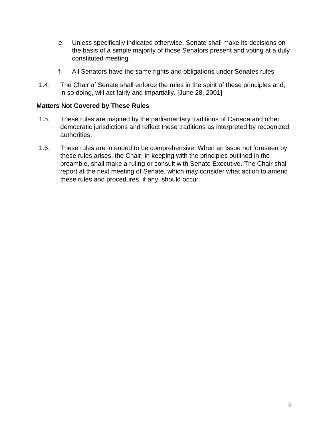- e. Unless specifically indicated otherwise, Senate shall make its decisions on the basis of a simple majority of those Senators present and voting at a duly constituted meeting.
- f. All Senators have the same rights and obligations under Senates rules.
- 1.4. The Chair of Senate shall enforce the rules in the spirit of these principles and, in so doing, will act fairly and impartially. [June 28, 2001]

# <span id="page-6-0"></span>**Matters Not Covered by These Rules**

- 1.5. These rules are inspired by the parliamentary traditions of Canada and other democratic jurisdictions and reflect these traditions as interpreted by recognized authorities.
- 1.6. These rules are intended to be comprehensive. When an issue not foreseen by these rules arises, the Chair, in keeping with the principles outlined in the preamble, shall make a ruling or consult with Senate Executive. The Chair shall report at the next meeting of Senate, which may consider what action to amend these rules and procedures, if any, should occur.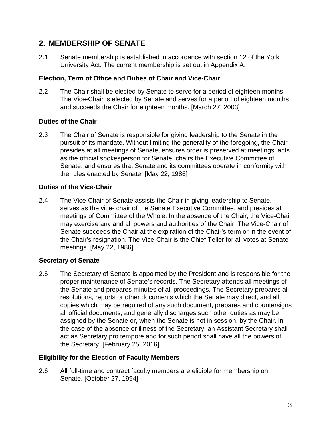# <span id="page-7-0"></span>**2. MEMBERSHIP OF SENATE**

2.1 Senate membership is established in accordance with section 12 of the York University Act. The current membership is set out in Appendix A.

# <span id="page-7-1"></span>**Election, Term of Office and Duties of Chair and Vice-Chair**

2.2. The Chair shall be elected by Senate to serve for a period of eighteen months. The Vice-Chair is elected by Senate and serves for a period of eighteen months and succeeds the Chair for eighteen months. [March 27, 2003]

# <span id="page-7-2"></span>**Duties of the Chair**

2.3. The Chair of Senate is responsible for giving leadership to the Senate in the pursuit of its mandate. Without limiting the generality of the foregoing, the Chair presides at all meetings of Senate, ensures order is preserved at meetings, acts as the official spokesperson for Senate, chairs the Executive Committee of Senate, and ensures that Senate and its committees operate in conformity with the rules enacted by Senate. [May 22, 1986]

# <span id="page-7-3"></span>**Duties of the Vice-Chair**

2.4. The Vice-Chair of Senate assists the Chair in giving leadership to Senate, serves as the vice- chair of the Senate Executive Committee, and presides at meetings of Committee of the Whole. In the absence of the Chair, the Vice-Chair may exercise any and all powers and authorities of the Chair. The Vice-Chair of Senate succeeds the Chair at the expiration of the Chair's term or in the event of the Chair's resignation. The Vice-Chair is the Chief Teller for all votes at Senate meetings. [May 22, 1986]

# <span id="page-7-4"></span>**Secretary of Senate**

2.5. The Secretary of Senate is appointed by the President and is responsible for the proper maintenance of Senate's records. The Secretary attends all meetings of the Senate and prepares minutes of all proceedings. The Secretary prepares all resolutions, reports or other documents which the Senate may direct, and all copies which may be required of any such document, prepares and countersigns all official documents, and generally discharges such other duties as may be assigned by the Senate or, when the Senate is not in session, by the Chair. In the case of the absence or illness of the Secretary, an Assistant Secretary shall act as Secretary pro tempore and for such period shall have all the powers of the Secretary. [February 25, 2016]

# <span id="page-7-5"></span>**Eligibility for the Election of Faculty Members**

2.6. All full-time and contract faculty members are eligible for membership on Senate. [October 27, 1994]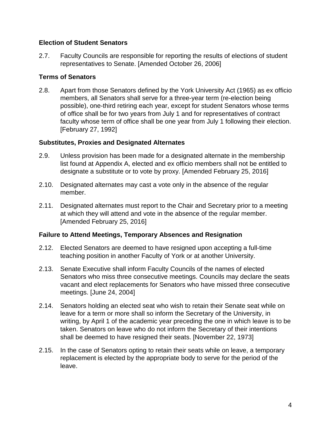# <span id="page-8-0"></span>**Election of Student Senators**

2.7. Faculty Councils are responsible for reporting the results of elections of student representatives to Senate. [Amended October 26, 2006]

# <span id="page-8-1"></span>**Terms of Senators**

2.8. Apart from those Senators defined by the York University Act (1965) as ex officio members, all Senators shall serve for a three-year term (re-election being possible), one-third retiring each year, except for student Senators whose terms of office shall be for two years from July 1 and for representatives of contract faculty whose term of office shall be one year from July 1 following their election. [February 27, 1992]

# <span id="page-8-2"></span>**Substitutes, Proxies and Designated Alternates**

- 2.9. Unless provision has been made for a designated alternate in the membership list found at Appendix A, elected and ex officio members shall not be entitled to designate a substitute or to vote by proxy. [Amended February 25, 2016]
- 2.10. Designated alternates may cast a vote only in the absence of the regular member.
- 2.11. Designated alternates must report to the Chair and Secretary prior to a meeting at which they will attend and vote in the absence of the regular member. [Amended February 25, 2016]

#### <span id="page-8-3"></span>**Failure to Attend Meetings, Temporary Absences and Resignation**

- 2.12. Elected Senators are deemed to have resigned upon accepting a full-time teaching position in another Faculty of York or at another University.
- 2.13. Senate Executive shall inform Faculty Councils of the names of elected Senators who miss three consecutive meetings. Councils may declare the seats vacant and elect replacements for Senators who have missed three consecutive meetings. [June 24, 2004]
- 2.14. Senators holding an elected seat who wish to retain their Senate seat while on leave for a term or more shall so inform the Secretary of the University, in writing, by April 1 of the academic year preceding the one in which leave is to be taken. Senators on leave who do not inform the Secretary of their intentions shall be deemed to have resigned their seats. [November 22, 1973]
- 2.15. In the case of Senators opting to retain their seats while on leave, a temporary replacement is elected by the appropriate body to serve for the period of the leave.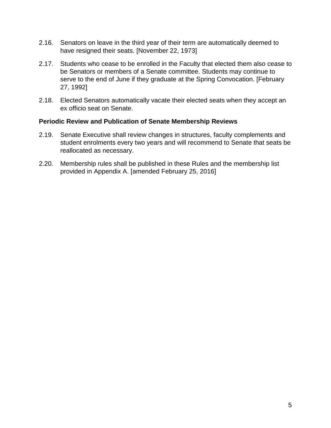- 2.16. Senators on leave in the third year of their term are automatically deemed to have resigned their seats. [November 22, 1973]
- 2.17. Students who cease to be enrolled in the Faculty that elected them also cease to be Senators or members of a Senate committee. Students may continue to serve to the end of June if they graduate at the Spring Convocation. [February 27, 1992]
- 2.18. Elected Senators automatically vacate their elected seats when they accept an ex officio seat on Senate.

#### <span id="page-9-0"></span>**Periodic Review and Publication of Senate Membership Reviews**

- 2.19. Senate Executive shall review changes in structures, faculty complements and student enrolments every two years and will recommend to Senate that seats be reallocated as necessary.
- 2.20. Membership rules shall be published in these Rules and the membership list provided in Appendix A. [amended February 25, 2016]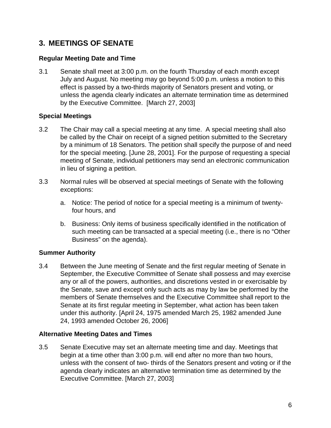# <span id="page-10-0"></span>**3. MEETINGS OF SENATE**

# <span id="page-10-1"></span>**Regular Meeting Date and Time**

3.1 Senate shall meet at 3:00 p.m. on the fourth Thursday of each month except July and August. No meeting may go beyond 5:00 p.m. unless a motion to this effect is passed by a two-thirds majority of Senators present and voting, or unless the agenda clearly indicates an alternate termination time as determined by the Executive Committee. [March 27, 2003]

# <span id="page-10-2"></span>**Special Meetings**

- 3.2 The Chair may call a special meeting at any time. A special meeting shall also be called by the Chair on receipt of a signed petition submitted to the Secretary by a minimum of 18 Senators. The petition shall specify the purpose of and need for the special meeting. [June 28, 2001]. For the purpose of requesting a special meeting of Senate, individual petitioners may send an electronic communication in lieu of signing a petition.
- 3.3 Normal rules will be observed at special meetings of Senate with the following exceptions:
	- a. Notice: The period of notice for a special meeting is a minimum of twentyfour hours, and
	- b. Business: Only items of business specifically identified in the notification of such meeting can be transacted at a special meeting (i.e., there is no "Other Business" on the agenda).

#### <span id="page-10-3"></span>**Summer Authority**

3.4 Between the June meeting of Senate and the first regular meeting of Senate in September, the Executive Committee of Senate shall possess and may exercise any or all of the powers, authorities, and discretions vested in or exercisable by the Senate, save and except only such acts as may by law be performed by the members of Senate themselves and the Executive Committee shall report to the Senate at its first regular meeting in September, what action has been taken under this authority. [April 24, 1975 amended March 25, 1982 amended June 24, 1993 amended October 26, 2006]

# <span id="page-10-4"></span>**Alternative Meeting Dates and Times**

3.5 Senate Executive may set an alternate meeting time and day. Meetings that begin at a time other than 3:00 p.m. will end after no more than two hours, unless with the consent of two- thirds of the Senators present and voting or if the agenda clearly indicates an alternative termination time as determined by the Executive Committee. [March 27, 2003]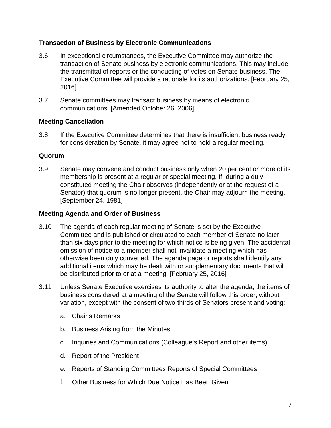# <span id="page-11-0"></span>**Transaction of Business by Electronic Communications**

- 3.6 In exceptional circumstances, the Executive Committee may authorize the transaction of Senate business by electronic communications. This may include the transmittal of reports or the conducting of votes on Senate business. The Executive Committee will provide a rationale for its authorizations. [February 25, 2016]
- 3.7 Senate committees may transact business by means of electronic communications. [Amended October 26, 2006]

# <span id="page-11-1"></span>**Meeting Cancellation**

3.8 If the Executive Committee determines that there is insufficient business ready for consideration by Senate, it may agree not to hold a regular meeting.

# <span id="page-11-2"></span>**Quorum**

3.9 Senate may convene and conduct business only when 20 per cent or more of its membership is present at a regular or special meeting. If, during a duly constituted meeting the Chair observes (independently or at the request of a Senator) that quorum is no longer present, the Chair may adjourn the meeting. [September 24, 1981]

#### <span id="page-11-3"></span>**Meeting Agenda and Order of Business**

- 3.10 The agenda of each regular meeting of Senate is set by the Executive Committee and is published or circulated to each member of Senate no later than six days prior to the meeting for which notice is being given. The accidental omission of notice to a member shall not invalidate a meeting which has otherwise been duly convened. The agenda page or reports shall identify any additional items which may be dealt with or supplementary documents that will be distributed prior to or at a meeting. [February 25, 2016]
- 3.11 Unless Senate Executive exercises its authority to alter the agenda, the items of business considered at a meeting of the Senate will follow this order, without variation, except with the consent of two-thirds of Senators present and voting:
	- a. Chair's Remarks
	- b. Business Arising from the Minutes
	- c. Inquiries and Communications (Colleague's Report and other items)
	- d. Report of the President
	- e. Reports of Standing Committees Reports of Special Committees
	- f. Other Business for Which Due Notice Has Been Given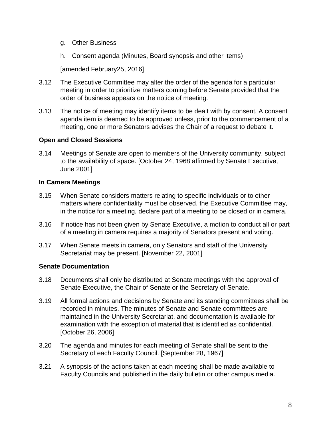- g. Other Business
- h. Consent agenda (Minutes, Board synopsis and other items)

[amended February25, 2016]

- 3.12 The Executive Committee may alter the order of the agenda for a particular meeting in order to prioritize matters coming before Senate provided that the order of business appears on the notice of meeting.
- 3.13 The notice of meeting may identify items to be dealt with by consent. A consent agenda item is deemed to be approved unless, prior to the commencement of a meeting, one or more Senators advises the Chair of a request to debate it.

# <span id="page-12-0"></span>**Open and Closed Sessions**

3.14 Meetings of Senate are open to members of the University community, subject to the availability of space. [October 24, 1968 affirmed by Senate Executive, June 2001]

# <span id="page-12-1"></span>**In Camera Meetings**

- 3.15 When Senate considers matters relating to specific individuals or to other matters where confidentiality must be observed, the Executive Committee may, in the notice for a meeting, declare part of a meeting to be closed or in camera.
- 3.16 If notice has not been given by Senate Executive, a motion to conduct all or part of a meeting in camera requires a majority of Senators present and voting.
- 3.17 When Senate meets in camera, only Senators and staff of the University Secretariat may be present. [November 22, 2001]

#### <span id="page-12-2"></span>**Senate Documentation**

- 3.18 Documents shall only be distributed at Senate meetings with the approval of Senate Executive, the Chair of Senate or the Secretary of Senate.
- 3.19 All formal actions and decisions by Senate and its standing committees shall be recorded in minutes. The minutes of Senate and Senate committees are maintained in the University Secretariat, and documentation is available for examination with the exception of material that is identified as confidential. [October 26, 2006]
- 3.20 The agenda and minutes for each meeting of Senate shall be sent to the Secretary of each Faculty Council. [September 28, 1967]
- 3.21 A synopsis of the actions taken at each meeting shall be made available to Faculty Councils and published in the daily bulletin or other campus media.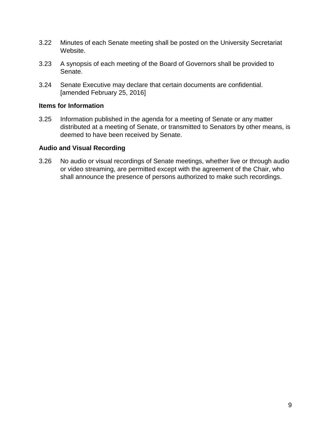- 3.22 Minutes of each Senate meeting shall be posted on the University Secretariat Website.
- 3.23 A synopsis of each meeting of the Board of Governors shall be provided to Senate.
- 3.24 Senate Executive may declare that certain documents are confidential. [amended February 25, 2016]

#### <span id="page-13-0"></span>**Items for Information**

3.25 Information published in the agenda for a meeting of Senate or any matter distributed at a meeting of Senate, or transmitted to Senators by other means, is deemed to have been received by Senate.

# <span id="page-13-1"></span>**Audio and Visual Recording**

3.26 No audio or visual recordings of Senate meetings, whether live or through audio or video streaming, are permitted except with the agreement of the Chair, who shall announce the presence of persons authorized to make such recordings.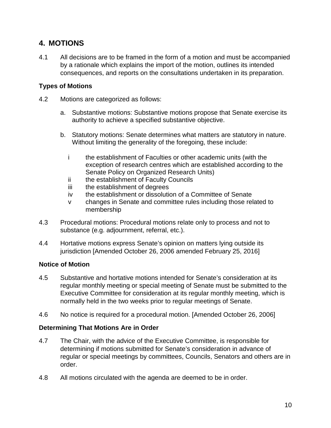# <span id="page-14-0"></span>**4. MOTIONS**

4.1 All decisions are to be framed in the form of a motion and must be accompanied by a rationale which explains the import of the motion, outlines its intended consequences, and reports on the consultations undertaken in its preparation.

# <span id="page-14-1"></span>**Types of Motions**

- 4.2 Motions are categorized as follows:
	- a. Substantive motions: Substantive motions propose that Senate exercise its authority to achieve a specified substantive objective.
	- b. Statutory motions: Senate determines what matters are statutory in nature. Without limiting the generality of the foregoing, these include:
		- i the establishment of Faculties or other academic units (with the exception of research centres which are established according to the Senate Policy on Organized Research Units)
		- ii the establishment of Faculty Councils
		- iii the establishment of degrees
		- iv the establishment or dissolution of a Committee of Senate
		- v changes in Senate and committee rules including those related to membership
- 4.3 Procedural motions: Procedural motions relate only to process and not to substance (e.g. adjournment, referral, etc.).
- 4.4 Hortative motions express Senate's opinion on matters lying outside its jurisdiction [Amended October 26, 2006 amended February 25, 2016]

# <span id="page-14-2"></span>**Notice of Motion**

- 4.5 Substantive and hortative motions intended for Senate's consideration at its regular monthly meeting or special meeting of Senate must be submitted to the Executive Committee for consideration at its regular monthly meeting, which is normally held in the two weeks prior to regular meetings of Senate.
- 4.6 No notice is required for a procedural motion. [Amended October 26, 2006]

# <span id="page-14-3"></span>**Determining That Motions Are in Order**

- 4.7 The Chair, with the advice of the Executive Committee, is responsible for determining if motions submitted for Senate's consideration in advance of regular or special meetings by committees, Councils, Senators and others are in order.
- 4.8 All motions circulated with the agenda are deemed to be in order.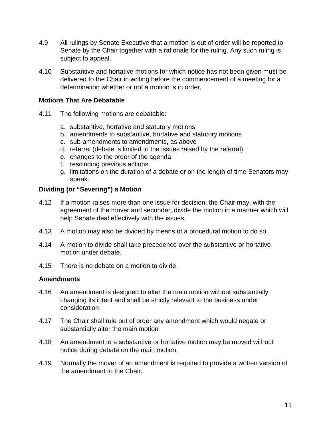- 4.9 All rulings by Senate Executive that a motion is out of order will be reported to Senate by the Chair together with a rationale for the ruling. Any such ruling is subject to appeal.
- 4.10 Substantive and hortative motions for which notice has not been given must be delivered to the Chair in writing before the commencement of a meeting for a determination whether or not a motion is in order.

# <span id="page-15-0"></span>**Motions That Are Debatable**

- 4.11 The following motions are debatable:
	- a. substantive, hortative and statutory motions
	- b. amendments to substantive, hortative and statutory motions
	- c. sub-amendments to amendments, as above
	- d. referral (debate is limited to the issues raised by the referral)
	- e. changes to the order of the agenda
	- f. rescinding previous actions
	- g. limitations on the duration of a debate or on the length of time Senators may speak.

#### <span id="page-15-1"></span>**Dividing (or "Severing") a Motion**

- 4.12 If a motion raises more than one issue for decision, the Chair may, with the agreement of the mover and seconder, divide the motion in a manner which will help Senate deal effectively with the issues.
- 4.13 A motion may also be divided by means of a procedural motion to do so.
- 4.14 A motion to divide shall take precedence over the substantive or hortative motion under debate.
- 4.15 There is no debate on a motion to divide.

#### <span id="page-15-2"></span>**Amendments**

- 4.16 An amendment is designed to alter the main motion without substantially changing its intent and shall be strictly relevant to the business under consideration.
- 4.17 The Chair shall rule out of order any amendment which would negate or substantially alter the main motion
- 4.18 An amendment to a substantive or hortative motion may be moved without notice during debate on the main motion.
- 4.19 Normally the mover of an amendment is required to provide a written version of the amendment to the Chair.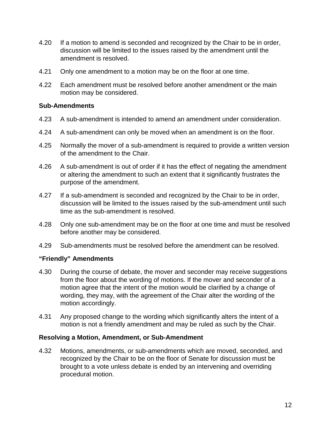- 4.20 If a motion to amend is seconded and recognized by the Chair to be in order, discussion will be limited to the issues raised by the amendment until the amendment is resolved.
- 4.21 Only one amendment to a motion may be on the floor at one time.
- 4.22 Each amendment must be resolved before another amendment or the main motion may be considered.

#### <span id="page-16-0"></span>**Sub-Amendments**

- 4.23 A sub-amendment is intended to amend an amendment under consideration.
- 4.24 A sub-amendment can only be moved when an amendment is on the floor.
- 4.25 Normally the mover of a sub-amendment is required to provide a written version of the amendment to the Chair.
- 4.26 A sub-amendment is out of order if it has the effect of negating the amendment or altering the amendment to such an extent that it significantly frustrates the purpose of the amendment.
- 4.27 If a sub-amendment is seconded and recognized by the Chair to be in order, discussion will be limited to the issues raised by the sub-amendment until such time as the sub-amendment is resolved.
- 4.28 Only one sub-amendment may be on the floor at one time and must be resolved before another may be considered.
- 4.29 Sub-amendments must be resolved before the amendment can be resolved.

#### <span id="page-16-1"></span>**"Friendly" Amendments**

- 4.30 During the course of debate, the mover and seconder may receive suggestions from the floor about the wording of motions. If the mover and seconder of a motion agree that the intent of the motion would be clarified by a change of wording, they may, with the agreement of the Chair alter the wording of the motion accordingly.
- 4.31 Any proposed change to the wording which significantly alters the intent of a motion is not a friendly amendment and may be ruled as such by the Chair.

#### <span id="page-16-2"></span>**Resolving a Motion, Amendment, or Sub-Amendment**

4.32 Motions, amendments, or sub-amendments which are moved, seconded, and recognized by the Chair to be on the floor of Senate for discussion must be brought to a vote unless debate is ended by an intervening and overriding procedural motion.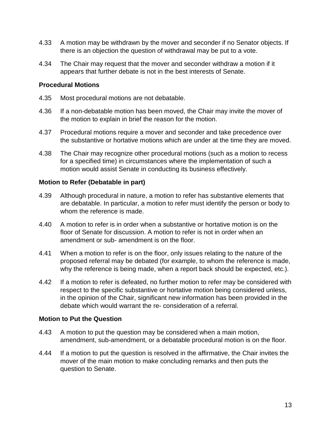- 4.33 A motion may be withdrawn by the mover and seconder if no Senator objects. If there is an objection the question of withdrawal may be put to a vote.
- 4.34 The Chair may request that the mover and seconder withdraw a motion if it appears that further debate is not in the best interests of Senate.

# <span id="page-17-0"></span>**Procedural Motions**

- 4.35 Most procedural motions are not debatable.
- 4.36 If a non-debatable motion has been moved, the Chair may invite the mover of the motion to explain in brief the reason for the motion.
- 4.37 Procedural motions require a mover and seconder and take precedence over the substantive or hortative motions which are under at the time they are moved.
- 4.38 The Chair may recognize other procedural motions (such as a motion to recess for a specified time) in circumstances where the implementation of such a motion would assist Senate in conducting its business effectively.

# <span id="page-17-1"></span>**Motion to Refer (Debatable in part)**

- 4.39 Although procedural in nature, a motion to refer has substantive elements that are debatable. In particular, a motion to refer must identify the person or body to whom the reference is made.
- 4.40 A motion to refer is in order when a substantive or hortative motion is on the floor of Senate for discussion. A motion to refer is not in order when an amendment or sub- amendment is on the floor.
- 4.41 When a motion to refer is on the floor, only issues relating to the nature of the proposed referral may be debated (for example, to whom the reference is made, why the reference is being made, when a report back should be expected, etc.).
- 4.42 If a motion to refer is defeated, no further motion to refer may be considered with respect to the specific substantive or hortative motion being considered unless, in the opinion of the Chair, significant new information has been provided in the debate which would warrant the re- consideration of a referral.

# <span id="page-17-2"></span>**Motion to Put the Question**

- 4.43 A motion to put the question may be considered when a main motion, amendment, sub-amendment, or a debatable procedural motion is on the floor.
- 4.44 If a motion to put the question is resolved in the affirmative, the Chair invites the mover of the main motion to make concluding remarks and then puts the question to Senate.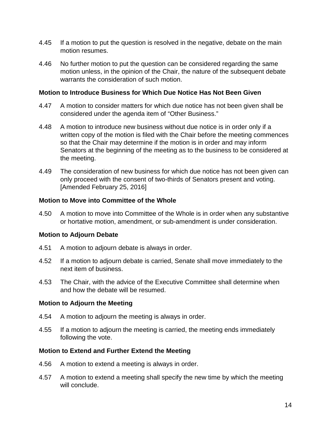- 4.45 If a motion to put the question is resolved in the negative, debate on the main motion resumes.
- 4.46 No further motion to put the question can be considered regarding the same motion unless, in the opinion of the Chair, the nature of the subsequent debate warrants the consideration of such motion.

#### <span id="page-18-0"></span>**Motion to Introduce Business for Which Due Notice Has Not Been Given**

- 4.47 A motion to consider matters for which due notice has not been given shall be considered under the agenda item of "Other Business."
- 4.48 A motion to introduce new business without due notice is in order only if a written copy of the motion is filed with the Chair before the meeting commences so that the Chair may determine if the motion is in order and may inform Senators at the beginning of the meeting as to the business to be considered at the meeting.
- 4.49 The consideration of new business for which due notice has not been given can only proceed with the consent of two-thirds of Senators present and voting. [Amended February 25, 2016]

#### <span id="page-18-1"></span>**Motion to Move into Committee of the Whole**

4.50 A motion to move into Committee of the Whole is in order when any substantive or hortative motion, amendment, or sub-amendment is under consideration.

#### **Motion to Adjourn Debate**

- 4.51 A motion to adjourn debate is always in order.
- 4.52 If a motion to adjourn debate is carried, Senate shall move immediately to the next item of business.
- 4.53 The Chair, with the advice of the Executive Committee shall determine when and how the debate will be resumed.

#### <span id="page-18-2"></span>**Motion to Adjourn the Meeting**

- 4.54 A motion to adjourn the meeting is always in order.
- 4.55 If a motion to adjourn the meeting is carried, the meeting ends immediately following the vote.

#### <span id="page-18-3"></span>**Motion to Extend and Further Extend the Meeting**

- 4.56 A motion to extend a meeting is always in order.
- 4.57 A motion to extend a meeting shall specify the new time by which the meeting will conclude.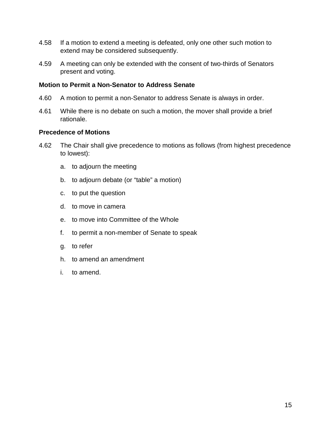- 4.58 If a motion to extend a meeting is defeated, only one other such motion to extend may be considered subsequently.
- 4.59 A meeting can only be extended with the consent of two-thirds of Senators present and voting.

#### <span id="page-19-0"></span>**Motion to Permit a Non-Senator to Address Senate**

- 4.60 A motion to permit a non-Senator to address Senate is always in order.
- 4.61 While there is no debate on such a motion, the mover shall provide a brief rationale.

## <span id="page-19-1"></span>**Precedence of Motions**

- 4.62 The Chair shall give precedence to motions as follows (from highest precedence to lowest):
	- a. to adjourn the meeting
	- b. to adjourn debate (or "table" a motion)
	- c. to put the question
	- d. to move in camera
	- e. to move into Committee of the Whole
	- f. to permit a non-member of Senate to speak
	- g. to refer
	- h. to amend an amendment
	- i. to amend.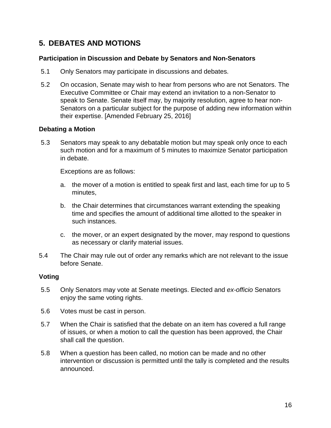# <span id="page-20-0"></span>**5. DEBATES AND MOTIONS**

# <span id="page-20-1"></span>**Participation in Discussion and Debate by Senators and Non-Senators**

- 5.1 Only Senators may participate in discussions and debates.
- 5.2 On occasion, Senate may wish to hear from persons who are not Senators. The Executive Committee or Chair may extend an invitation to a non-Senator to speak to Senate. Senate itself may, by majority resolution, agree to hear non-Senators on a particular subject for the purpose of adding new information within their expertise. [Amended February 25, 2016]

#### <span id="page-20-2"></span>**Debating a Motion**

5.3 Senators may speak to any debatable motion but may speak only once to each such motion and for a maximum of 5 minutes to maximize Senator participation in debate.

Exceptions are as follows:

- a. the mover of a motion is entitled to speak first and last, each time for up to 5 minutes,
- b. the Chair determines that circumstances warrant extending the speaking time and specifies the amount of additional time allotted to the speaker in such instances.
- c. the mover, or an expert designated by the mover, may respond to questions as necessary or clarify material issues.
- 5.4 The Chair may rule out of order any remarks which are not relevant to the issue before Senate.

#### <span id="page-20-3"></span>**Voting**

- 5.5 Only Senators may vote at Senate meetings. Elected and *ex-officio* Senators enjoy the same voting rights.
- 5.6 Votes must be cast in person.
- 5.7 When the Chair is satisfied that the debate on an item has covered a full range of issues, or when a motion to call the question has been approved, the Chair shall call the question.
- 5.8 When a question has been called, no motion can be made and no other intervention or discussion is permitted until the tally is completed and the results announced.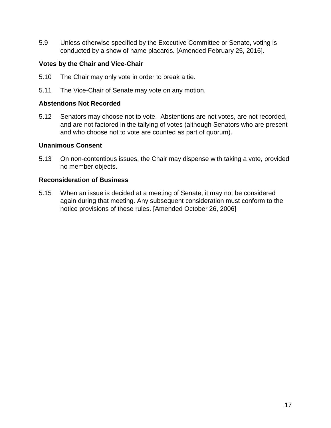5.9 Unless otherwise specified by the Executive Committee or Senate, voting is conducted by a show of name placards. [Amended February 25, 2016].

# <span id="page-21-0"></span>**Votes by the Chair and Vice-Chair**

- 5.10 The Chair may only vote in order to break a tie.
- 5.11 The Vice-Chair of Senate may vote on any motion.

#### <span id="page-21-1"></span>**Abstentions Not Recorded**

5.12 Senators may choose not to vote. Abstentions are not votes, are not recorded, and are not factored in the tallying of votes (although Senators who are present and who choose not to vote are counted as part of quorum).

#### <span id="page-21-2"></span>**Unanimous Consent**

5.13 On non-contentious issues, the Chair may dispense with taking a vote, provided no member objects.

#### <span id="page-21-3"></span>**Reconsideration of Business**

5.15 When an issue is decided at a meeting of Senate, it may not be considered again during that meeting. Any subsequent consideration must conform to the notice provisions of these rules. [Amended October 26, 2006]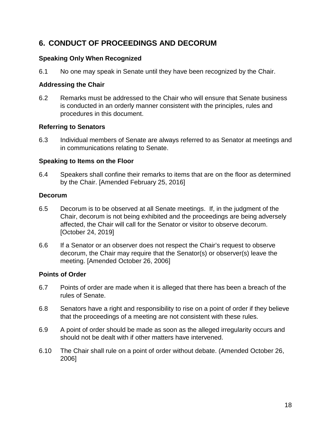# <span id="page-22-0"></span>**6. CONDUCT OF PROCEEDINGS AND DECORUM**

# <span id="page-22-1"></span>**Speaking Only When Recognized**

6.1 No one may speak in Senate until they have been recognized by the Chair.

# <span id="page-22-2"></span>**Addressing the Chair**

6.2 Remarks must be addressed to the Chair who will ensure that Senate business is conducted in an orderly manner consistent with the principles, rules and procedures in this document.

# <span id="page-22-3"></span>**Referring to Senators**

6.3 Individual members of Senate are always referred to as Senator at meetings and in communications relating to Senate.

# <span id="page-22-4"></span>**Speaking to Items on the Floor**

6.4 Speakers shall confine their remarks to items that are on the floor as determined by the Chair. [Amended February 25, 2016]

# <span id="page-22-5"></span>**Decorum**

- 6.5 Decorum is to be observed at all Senate meetings. If, in the judgment of the Chair, decorum is not being exhibited and the proceedings are being adversely affected, the Chair will call for the Senator or visitor to observe decorum. [October 24, 2019]
- 6.6 If a Senator or an observer does not respect the Chair's request to observe decorum, the Chair may require that the Senator(s) or observer(s) leave the meeting. [Amended October 26, 2006]

# <span id="page-22-6"></span>**Points of Order**

- 6.7 Points of order are made when it is alleged that there has been a breach of the rules of Senate.
- 6.8 Senators have a right and responsibility to rise on a point of order if they believe that the proceedings of a meeting are not consistent with these rules.
- 6.9 A point of order should be made as soon as the alleged irregularity occurs and should not be dealt with if other matters have intervened.
- <span id="page-22-7"></span>6.10 The Chair shall rule on a point of order without debate. (Amended October 26, 2006]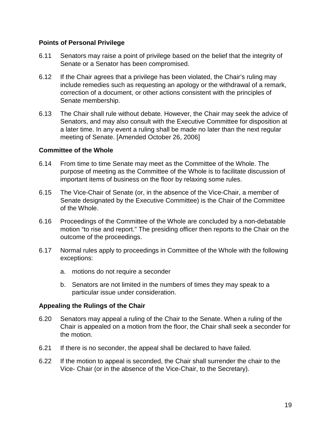#### **Points of Personal Privilege**

- 6.11 Senators may raise a point of privilege based on the belief that the integrity of Senate or a Senator has been compromised.
- 6.12 If the Chair agrees that a privilege has been violated, the Chair's ruling may include remedies such as requesting an apology or the withdrawal of a remark, correction of a document, or other actions consistent with the principles of Senate membership.
- 6.13 The Chair shall rule without debate. However, the Chair may seek the advice of Senators, and may also consult with the Executive Committee for disposition at a later time. In any event a ruling shall be made no later than the next regular meeting of Senate. [Amended October 26, 2006]

# <span id="page-23-0"></span>**Committee of the Whole**

- 6.14 From time to time Senate may meet as the Committee of the Whole. The purpose of meeting as the Committee of the Whole is to facilitate discussion of important items of business on the floor by relaxing some rules.
- 6.15 The Vice-Chair of Senate (or, in the absence of the Vice-Chair, a member of Senate designated by the Executive Committee) is the Chair of the Committee of the Whole.
- 6.16 Proceedings of the Committee of the Whole are concluded by a non-debatable motion "to rise and report." The presiding officer then reports to the Chair on the outcome of the proceedings.
- 6.17 Normal rules apply to proceedings in Committee of the Whole with the following exceptions:
	- a. motions do not require a seconder
	- b. Senators are not limited in the numbers of times they may speak to a particular issue under consideration.

# <span id="page-23-1"></span>**Appealing the Rulings of the Chair**

- 6.20 Senators may appeal a ruling of the Chair to the Senate. When a ruling of the Chair is appealed on a motion from the floor, the Chair shall seek a seconder for the motion.
- 6.21 If there is no seconder, the appeal shall be declared to have failed.
- 6.22 If the motion to appeal is seconded, the Chair shall surrender the chair to the Vice- Chair (or in the absence of the Vice-Chair, to the Secretary).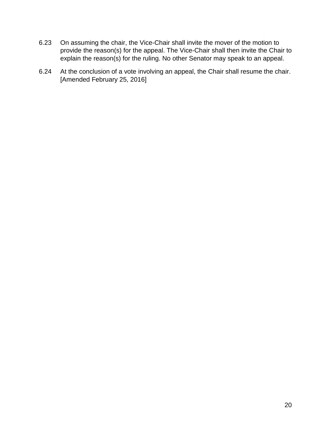- 6.23 On assuming the chair, the Vice-Chair shall invite the mover of the motion to provide the reason(s) for the appeal. The Vice-Chair shall then invite the Chair to explain the reason(s) for the ruling. No other Senator may speak to an appeal.
- 6.24 At the conclusion of a vote involving an appeal, the Chair shall resume the chair. [Amended February 25, 2016]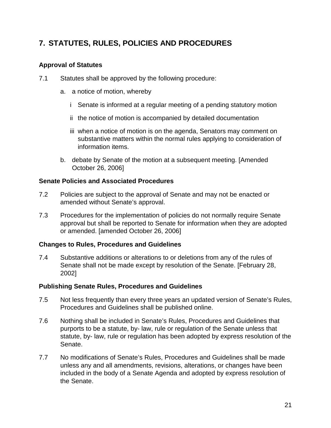# <span id="page-25-0"></span>**7. STATUTES, RULES, POLICIES AND PROCEDURES**

# <span id="page-25-1"></span>**Approval of Statutes**

- 7.1 Statutes shall be approved by the following procedure:
	- a. a notice of motion, whereby
		- i Senate is informed at a regular meeting of a pending statutory motion
		- ii the notice of motion is accompanied by detailed documentation
		- iii when a notice of motion is on the agenda, Senators may comment on substantive matters within the normal rules applying to consideration of information items.
	- b. debate by Senate of the motion at a subsequent meeting. [Amended October 26, 2006]

# <span id="page-25-2"></span>**Senate Policies and Associated Procedures**

- 7.2 Policies are subject to the approval of Senate and may not be enacted or amended without Senate's approval.
- 7.3 Procedures for the implementation of policies do not normally require Senate approval but shall be reported to Senate for information when they are adopted or amended. [amended October 26, 2006]

# <span id="page-25-3"></span>**Changes to Rules, Procedures and Guidelines**

7.4 Substantive additions or alterations to or deletions from any of the rules of Senate shall not be made except by resolution of the Senate. [February 28, 2002]

#### <span id="page-25-4"></span>**Publishing Senate Rules, Procedures and Guidelines**

- 7.5 Not less frequently than every three years an updated version of Senate's Rules, Procedures and Guidelines shall be published online.
- 7.6 Nothing shall be included in Senate's Rules, Procedures and Guidelines that purports to be a statute, by- law, rule or regulation of the Senate unless that statute, by- law, rule or regulation has been adopted by express resolution of the Senate.
- 7.7 No modifications of Senate's Rules, Procedures and Guidelines shall be made unless any and all amendments, revisions, alterations, or changes have been included in the body of a Senate Agenda and adopted by express resolution of the Senate.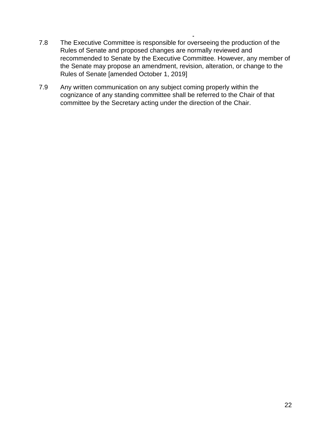- 7.8 The Executive Committee is responsible for overseeing the production of the Rules of Senate and proposed changes are normally reviewed and recommended to Senate by the Executive Committee. However, any member of the Senate may propose an amendment, revision, alteration, or change to the Rules of Senate [amended October 1, 2019]
- 7.9 Any written communication on any subject coming properly within the cognizance of any standing committee shall be referred to the Chair of that committee by the Secretary acting under the direction of the Chair.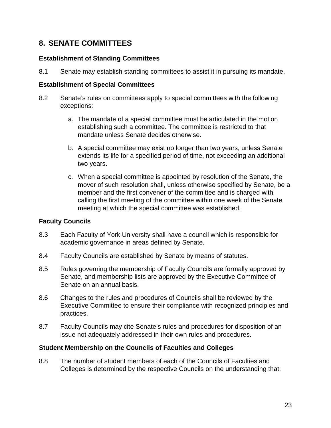# <span id="page-27-0"></span>**8. SENATE COMMITTEES**

# <span id="page-27-1"></span>**Establishment of Standing Committees**

8.1 Senate may establish standing committees to assist it in pursuing its mandate.

# <span id="page-27-2"></span>**Establishment of Special Committees**

- 8.2 Senate's rules on committees apply to special committees with the following exceptions:
	- a. The mandate of a special committee must be articulated in the motion establishing such a committee. The committee is restricted to that mandate unless Senate decides otherwise.
	- b. A special committee may exist no longer than two years, unless Senate extends its life for a specified period of time, not exceeding an additional two years.
	- c. When a special committee is appointed by resolution of the Senate, the mover of such resolution shall, unless otherwise specified by Senate, be a member and the first convener of the committee and is charged with calling the first meeting of the committee within one week of the Senate meeting at which the special committee was established.

# <span id="page-27-3"></span>**Faculty Councils**

- 8.3 Each Faculty of York University shall have a council which is responsible for academic governance in areas defined by Senate.
- 8.4 Faculty Councils are established by Senate by means of statutes.
- 8.5 Rules governing the membership of Faculty Councils are formally approved by Senate, and membership lists are approved by the Executive Committee of Senate on an annual basis.
- 8.6 Changes to the rules and procedures of Councils shall be reviewed by the Executive Committee to ensure their compliance with recognized principles and practices.
- 8.7 Faculty Councils may cite Senate's rules and procedures for disposition of an issue not adequately addressed in their own rules and procedures.

# <span id="page-27-4"></span>**Student Membership on the Councils of Faculties and Colleges**

8.8 The number of student members of each of the Councils of Faculties and Colleges is determined by the respective Councils on the understanding that: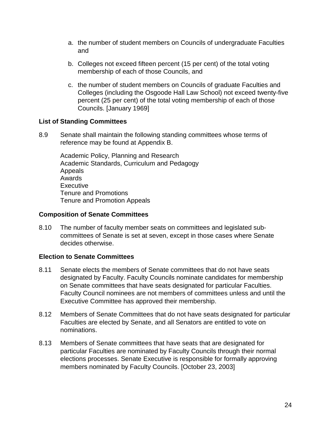- a. the number of student members on Councils of undergraduate Faculties and
- b. Colleges not exceed fifteen percent (15 per cent) of the total voting membership of each of those Councils, and
- c. the number of student members on Councils of graduate Faculties and Colleges (including the Osgoode Hall Law School) not exceed twenty-five percent (25 per cent) of the total voting membership of each of those Councils. [January 1969]

# <span id="page-28-0"></span>**List of Standing Committees**

8.9 Senate shall maintain the following standing committees whose terms of reference may be found at Appendix B.

Academic Policy, Planning and Research Academic Standards, Curriculum and Pedagogy Appeals Awards **Executive** Tenure and Promotions Tenure and Promotion Appeals

#### <span id="page-28-1"></span>**Composition of Senate Committees**

8.10 The number of faculty member seats on committees and legislated subcommittees of Senate is set at seven, except in those cases where Senate decides otherwise.

# <span id="page-28-2"></span>**Election to Senate Committees**

- 8.11 Senate elects the members of Senate committees that do not have seats designated by Faculty. Faculty Councils nominate candidates for membership on Senate committees that have seats designated for particular Faculties. Faculty Council nominees are not members of committees unless and until the Executive Committee has approved their membership.
- 8.12 Members of Senate Committees that do not have seats designated for particular Faculties are elected by Senate, and all Senators are entitled to vote on nominations.
- 8.13 Members of Senate committees that have seats that are designated for particular Faculties are nominated by Faculty Councils through their normal elections processes. Senate Executive is responsible for formally approving members nominated by Faculty Councils. [October 23, 2003]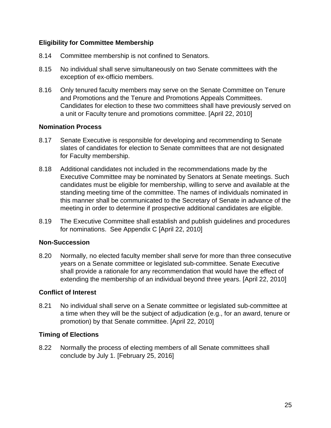# <span id="page-29-0"></span>**Eligibility for Committee Membership**

- 8.14 Committee membership is not confined to Senators.
- 8.15 No individual shall serve simultaneously on two Senate committees with the exception of ex-officio members.
- 8.16 Only tenured faculty members may serve on the Senate Committee on Tenure and Promotions and the Tenure and Promotions Appeals Committees. Candidates for election to these two committees shall have previously served on a unit or Faculty tenure and promotions committee. [April 22, 2010]

#### <span id="page-29-1"></span>**Nomination Process**

- 8.17 Senate Executive is responsible for developing and recommending to Senate slates of candidates for election to Senate committees that are not designated for Faculty membership.
- 8.18 Additional candidates not included in the recommendations made by the Executive Committee may be nominated by Senators at Senate meetings. Such candidates must be eligible for membership, willing to serve and available at the standing meeting time of the committee. The names of individuals nominated in this manner shall be communicated to the Secretary of Senate in advance of the meeting in order to determine if prospective additional candidates are eligible.
- 8.19 The Executive Committee shall establish and publish guidelines and procedures for nominations. See Appendix C [April 22, 2010]

#### <span id="page-29-2"></span>**Non-Succession**

8.20 Normally, no elected faculty member shall serve for more than three consecutive years on a Senate committee or legislated sub-committee. Senate Executive shall provide a rationale for any recommendation that would have the effect of extending the membership of an individual beyond three years. [April 22, 2010]

#### <span id="page-29-3"></span>**Conflict of Interest**

8.21 No individual shall serve on a Senate committee or legislated sub-committee at a time when they will be the subject of adjudication (e.g., for an award, tenure or promotion) by that Senate committee. [April 22, 2010]

#### **Timing of Elections**

8.22 Normally the process of electing members of all Senate committees shall conclude by July 1. [February 25, 2016]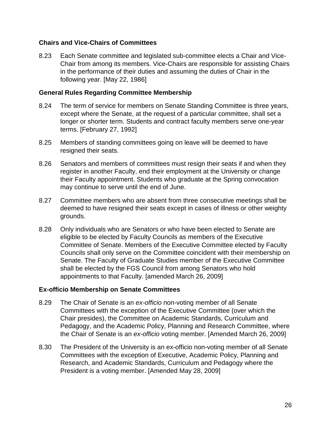#### <span id="page-30-0"></span>**Chairs and Vice-Chairs of Committees**

8.23 Each Senate committee and legislated sub-committee elects a Chair and Vice-Chair from among its members. Vice-Chairs are responsible for assisting Chairs in the performance of their duties and assuming the duties of Chair in the following year. [May 22, 1986]

#### <span id="page-30-1"></span>**General Rules Regarding Committee Membership**

- 8.24 The term of service for members on Senate Standing Committee is three years, except where the Senate, at the request of a particular committee, shall set a longer or shorter term. Students and contract faculty members serve one-year terms. [February 27, 1992]
- 8.25 Members of standing committees going on leave will be deemed to have resigned their seats.
- 8.26 Senators and members of committees must resign their seats if and when they register in another Faculty, end their employment at the University or change their Faculty appointment. Students who graduate at the Spring convocation may continue to serve until the end of June.
- 8.27 Committee members who are absent from three consecutive meetings shall be deemed to have resigned their seats except in cases of illness or other weighty grounds.
- 8.28 Only individuals who are Senators or who have been elected to Senate are eligible to be elected by Faculty Councils as members of the Executive Committee of Senate. Members of the Executive Committee elected by Faculty Councils shall only serve on the Committee coincident with their membership on Senate. The Faculty of Graduate Studies member of the Executive Committee shall be elected by the FGS Council from among Senators who hold appointments to that Faculty. [amended March 26, 2009]

#### <span id="page-30-2"></span>**Ex-officio Membership on Senate Committees**

- 8.29 The Chair of Senate is an *ex-officio* non-voting member of all Senate Committees with the exception of the Executive Committee (over which the Chair presides), the Committee on Academic Standards, Curriculum and Pedagogy, and the Academic Policy, Planning and Research Committee, where the Chair of Senate is an *ex-officio* voting member. [Amended March 26, 2009]
- 8.30 The President of the University is an ex-officio non-voting member of all Senate Committees with the exception of Executive, Academic Policy, Planning and Research, and Academic Standards, Curriculum and Pedagogy where the President is a voting member. [Amended May 28, 2009]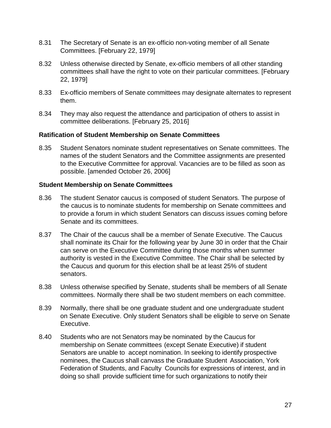- 8.31 The Secretary of Senate is an ex-officio non-voting member of all Senate Committees. [February 22, 1979]
- 8.32 Unless otherwise directed by Senate, ex-officio members of all other standing committees shall have the right to vote on their particular committees. [February 22, 1979]
- 8.33 Ex-officio members of Senate committees may designate alternates to represent them.
- 8.34 They may also request the attendance and participation of others to assist in committee deliberations. [February 25, 2016]

#### <span id="page-31-0"></span>**Ratification of Student Membership on Senate Committees**

8.35 Student Senators nominate student representatives on Senate committees. The names of the student Senators and the Committee assignments are presented to the Executive Committee for approval. Vacancies are to be filled as soon as possible. [amended October 26, 2006]

# **Student Membership on Senate Committees**

- 8.36 The student Senator caucus is composed of student Senators. The purpose of the caucus is to nominate students for membership on Senate committees and to provide a forum in which student Senators can discuss issues coming before Senate and its committees.
- 8.37 The Chair of the caucus shall be a member of Senate Executive. The Caucus shall nominate its Chair for the following year by June 30 in order that the Chair can serve on the Executive Committee during those months when summer authority is vested in the Executive Committee. The Chair shall be selected by the Caucus and quorum for this election shall be at least 25% of student senators.
- 8.38 Unless otherwise specified by Senate, students shall be members of all Senate committees. Normally there shall be two student members on each committee.
- 8.39 Normally, there shall be one graduate student and one undergraduate student on Senate Executive. Only student Senators shall be eligible to serve on Senate Executive.
- 8.40 Students who are not Senators may be nominated by the Caucus for membership on Senate committees (except Senate Executive) if student Senators are unable to accept nomination. In seeking to identify prospective nominees, the Caucus shall canvass the Graduate Student Association, York Federation of Students, and Faculty Councils for expressions of interest, and in doing so shall provide sufficient time for such organizations to notify their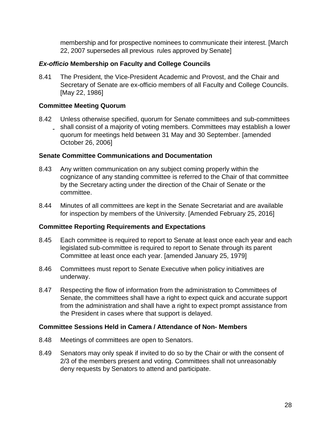membership and for prospective nominees to communicate their interest. [March 22, 2007 supersedes all previous rules approved by Senate]

# <span id="page-32-0"></span>*Ex-officio* **Membership on Faculty and College Councils**

8.41 The President, the Vice-President Academic and Provost, and the Chair and Secretary of Senate are ex-officio members of all Faculty and College Councils. [May 22, 1986]

# <span id="page-32-1"></span>**Committee Meeting Quorum**

8.42 Unless otherwise specified, quorum for Senate committees and sub-committees shall consist of a majority of voting members. Committees may establish a lower quorum for meetings held between 31 May and 30 September. [amended October 26, 2006]

# <span id="page-32-2"></span>**Senate Committee Communications and Documentation**

- 8.43 Any written communication on any subject coming properly within the cognizance of any standing committee is referred to the Chair of that committee by the Secretary acting under the direction of the Chair of Senate or the committee.
- 8.44 Minutes of all committees are kept in the Senate Secretariat and are available for inspection by members of the University. [Amended February 25, 2016]

# <span id="page-32-3"></span>**Committee Reporting Requirements and Expectations**

- 8.45 Each committee is required to report to Senate at least once each year and each legislated sub-committee is required to report to Senate through its parent Committee at least once each year. [amended January 25, 1979]
- 8.46 Committees must report to Senate Executive when policy initiatives are underway.
- 8.47 Respecting the flow of information from the administration to Committees of Senate, the committees shall have a right to expect quick and accurate support from the administration and shall have a right to expect prompt assistance from the President in cases where that support is delayed.

#### **Committee Sessions Held in Camera / Attendance of Non- Members**

- 8.48 Meetings of committees are open to Senators.
- 8.49 Senators may only speak if invited to do so by the Chair or with the consent of 2/3 of the members present and voting. Committees shall not unreasonably deny requests by Senators to attend and participate.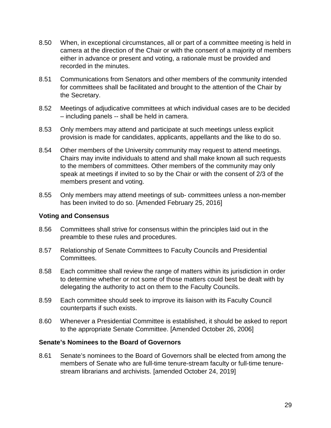- 8.50 When, in exceptional circumstances, all or part of a committee meeting is held in camera at the direction of the Chair or with the consent of a majority of members either in advance or present and voting, a rationale must be provided and recorded in the minutes.
- 8.51 Communications from Senators and other members of the community intended for committees shall be facilitated and brought to the attention of the Chair by the Secretary.
- 8.52 Meetings of adjudicative committees at which individual cases are to be decided – including panels -- shall be held in camera.
- 8.53 Only members may attend and participate at such meetings unless explicit provision is made for candidates, applicants, appellants and the like to do so.
- 8.54 Other members of the University community may request to attend meetings. Chairs may invite individuals to attend and shall make known all such requests to the members of committees. Other members of the community may only speak at meetings if invited to so by the Chair or with the consent of 2/3 of the members present and voting.
- 8.55 Only members may attend meetings of sub- committees unless a non-member has been invited to do so. [Amended February 25, 2016]

#### <span id="page-33-0"></span>**Voting and Consensus**

- 8.56 Committees shall strive for consensus within the principles laid out in the preamble to these rules and procedures.
- 8.57 Relationship of Senate Committees to Faculty Councils and Presidential Committees.
- 8.58 Each committee shall review the range of matters within its jurisdiction in order to determine whether or not some of those matters could best be dealt with by delegating the authority to act on them to the Faculty Councils.
- 8.59 Each committee should seek to improve its liaison with its Faculty Council counterparts if such exists.
- 8.60 Whenever a Presidential Committee is established, it should be asked to report to the appropriate Senate Committee. [Amended October 26, 2006]

#### <span id="page-33-1"></span>**Senate's Nominees to the Board of Governors**

8.61 Senate's nominees to the Board of Governors shall be elected from among the members of Senate who are full-time tenure-stream faculty or full-time tenurestream librarians and archivists. [amended October 24, 2019]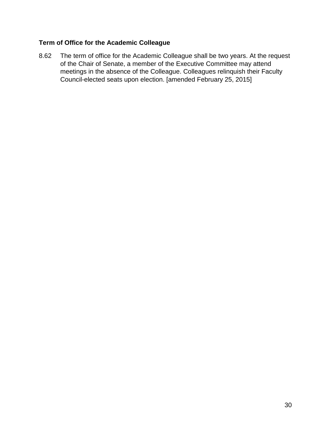# **Term of Office for the Academic Colleague**

8.62 The term of office for the Academic Colleague shall be two years. At the request of the Chair of Senate, a member of the Executive Committee may attend meetings in the absence of the Colleague. Colleagues relinquish their Faculty Council-elected seats upon election. [amended February 25, 2015]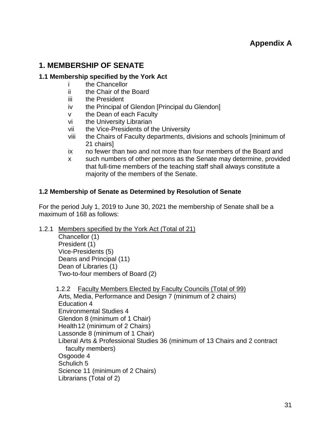# <span id="page-35-1"></span><span id="page-35-0"></span>**1. MEMBERSHIP OF SENATE**

# <span id="page-35-2"></span>**1.1 Membership specified by the York Act**

- i the Chancellor
- ii the Chair of the Board
- iii the President
- iv the Principal of Glendon [Principal du Glendon]
- v the Dean of each Faculty
- vi the University Librarian
- vii the Vice-Presidents of the University
- viii the Chairs of Faculty departments, divisions and schools [minimum of 21 chairs]
- ix no fewer than two and not more than four members of the Board and
- x such numbers of other persons as the Senate may determine, provided that full-time members of the teaching staff shall always constitute a majority of the members of the Senate.

# <span id="page-35-3"></span>**1.2 Membership of Senate as Determined by Resolution of Senate**

For the period July 1, 2019 to June 30, 2021 the membership of Senate shall be a maximum of 168 as follows:

1.2.1 Members specified by the York Act (Total of 21)

Chancellor (1) President (1) Vice-Presidents (5) Deans and Principal (11) Dean of Libraries (1) Two-to-four members of Board (2)

1.2.2 Faculty Members Elected by Faculty Councils (Total of 99) Arts, Media, Performance and Design 7 (minimum of 2 chairs) Education 4 Environmental Studies 4 Glendon 8 (minimum of 1 Chair) Health12 (minimum of 2 Chairs) Lassonde 8 (minimum of 1 Chair) Liberal Arts & Professional Studies 36 (minimum of 13 Chairs and 2 contract faculty members) Osgoode 4 Schulich 5 Science 11 (minimum of 2 Chairs) Librarians (Total of 2)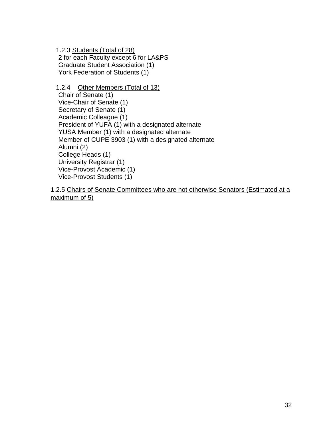1.2.3 Students (Total of 28) 2 for each Faculty except 6 for LA&PS Graduate Student Association (1) York Federation of Students (1)

1.2.4 Other Members (Total of 13) Chair of Senate (1) Vice-Chair of Senate (1) Secretary of Senate (1) Academic Colleague (1) President of YUFA (1) with a designated alternate YUSA Member (1) with a designated alternate Member of CUPE 3903 (1) with a designated alternate Alumni (2) College Heads (1) University Registrar (1) Vice-Provost Academic (1) Vice-Provost Students (1)

1.2.5 Chairs of Senate Committees who are not otherwise Senators (Estimated at a maximum of 5)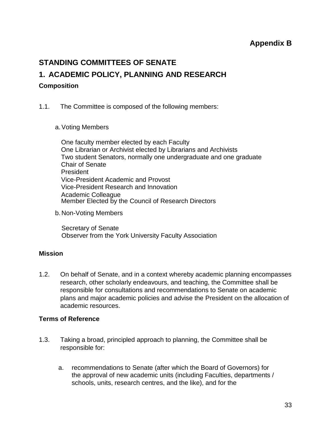# **Appendix B**

# <span id="page-37-1"></span><span id="page-37-0"></span>**STANDING COMMITTEES OF SENATE**

# <span id="page-37-2"></span>**1. ACADEMIC POLICY, PLANNING AND RESEARCH**

# <span id="page-37-3"></span>**Composition**

- 1.1. The Committee is composed of the following members:
	- a.Voting Members

One faculty member elected by each Faculty One Librarian or Archivist elected by Librarians and Archivists Two student Senators, normally one undergraduate and one graduate Chair of Senate President Vice-President Academic and Provost Vice-President Research and Innovation Academic Colleague Member Elected by the Council of Research Directors

b.Non-Voting Members

Secretary of Senate Observer from the York University Faculty Association

# <span id="page-37-4"></span>**Mission**

1.2. On behalf of Senate, and in a context whereby academic planning encompasses research, other scholarly endeavours, and teaching, the Committee shall be responsible for consultations and recommendations to Senate on academic plans and major academic policies and advise the President on the allocation of academic resources.

#### <span id="page-37-5"></span>**Terms of Reference**

- 1.3. Taking a broad, principled approach to planning, the Committee shall be responsible for:
	- a. recommendations to Senate (after which the Board of Governors) for the approval of new academic units (including Faculties, departments / schools, units, research centres, and the like), and for the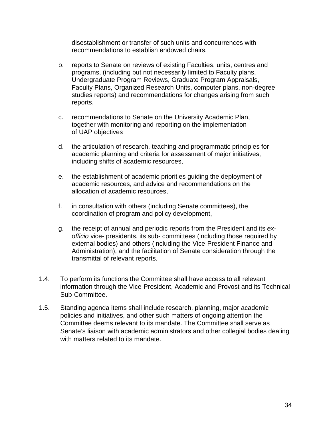disestablishment or transfer of such units and concurrences with recommendations to establish endowed chairs,

- b. reports to Senate on reviews of existing Faculties, units, centres and programs, (including but not necessarily limited to Faculty plans, Undergraduate Program Reviews, Graduate Program Appraisals, Faculty Plans, Organized Research Units, computer plans, non-degree studies reports) and recommendations for changes arising from such reports,
- c. recommendations to Senate on the University Academic Plan, together with monitoring and reporting on the implementation of UAP objectives
- d. the articulation of research, teaching and programmatic principles for academic planning and criteria for assessment of major initiatives, including shifts of academic resources,
- e. the establishment of academic priorities guiding the deployment of academic resources, and advice and recommendations on the allocation of academic resources,
- f. in consultation with others (including Senate committees), the coordination of program and policy development,
- g. the receipt of annual and periodic reports from the President and its *exofficio* vice- presidents, its sub- committees (including those required by external bodies) and others (including the Vice-President Finance and Administration), and the facilitation of Senate consideration through the transmittal of relevant reports.
- 1.4. To perform its functions the Committee shall have access to all relevant information through the Vice-President, Academic and Provost and its Technical Sub-Committee.
- 1.5. Standing agenda items shall include research, planning, major academic policies and initiatives, and other such matters of ongoing attention the Committee deems relevant to its mandate. The Committee shall serve as Senate's liaison with academic administrators and other collegial bodies dealing with matters related to its mandate.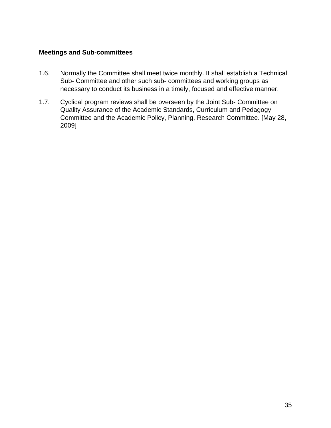#### <span id="page-39-0"></span>**Meetings and Sub-committees**

- 1.6. Normally the Committee shall meet twice monthly. It shall establish a Technical Sub- Committee and other such sub- committees and working groups as necessary to conduct its business in a timely, focused and effective manner.
- 1.7. Cyclical program reviews shall be overseen by the Joint Sub- Committee on Quality Assurance of the Academic Standards, Curriculum and Pedagogy Committee and the Academic Policy, Planning, Research Committee. [May 28, 2009]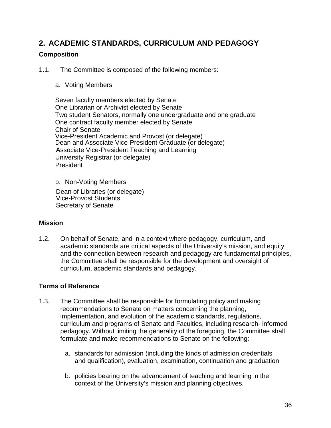# <span id="page-40-0"></span>**2. ACADEMIC STANDARDS, CURRICULUM AND PEDAGOGY**

# <span id="page-40-1"></span>**Composition**

1.1. The Committee is composed of the following members:

#### a. Voting Members

Seven faculty members elected by Senate One Librarian or Archivist elected by Senate Two student Senators, normally one undergraduate and one graduate One contract faculty member elected by Senate Chair of Senate Vice-President Academic and Provost (or delegate) Dean and Associate Vice-President Graduate (or delegate) Associate Vice-President Teaching and Learning University Registrar (or delegate) President

b. Non-Voting Members

Dean of Libraries (or delegate) Vice-Provost Students Secretary of Senate

#### <span id="page-40-2"></span>**Mission**

1.2. On behalf of Senate, and in a context where pedagogy, curriculum, and academic standards are critical aspects of the University's mission, and equity and the connection between research and pedagogy are fundamental principles, the Committee shall be responsible for the development and oversight of curriculum, academic standards and pedagogy.

#### <span id="page-40-3"></span>**Terms of Reference**

- 1.3. The Committee shall be responsible for formulating policy and making recommendations to Senate on matters concerning the planning, implementation, and evolution of the academic standards, regulations, curriculum and programs of Senate and Faculties, including research- informed pedagogy. Without limiting the generality of the foregoing, the Committee shall formulate and make recommendations to Senate on the following:
	- a. standards for admission (including the kinds of admission credentials and qualification), evaluation, examination, continuation and graduation
	- b. policies bearing on the advancement of teaching and learning in the context of the University's mission and planning objectives,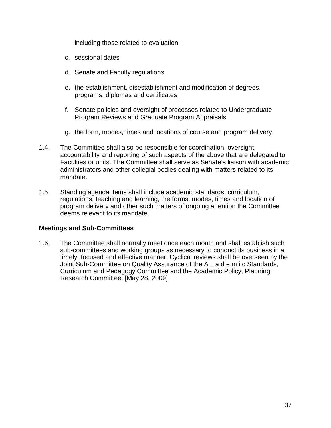including those related to evaluation

- c. sessional dates
- d. Senate and Faculty regulations
- e. the establishment, disestablishment and modification of degrees, programs, diplomas and certificates
- f. Senate policies and oversight of processes related to Undergraduate Program Reviews and Graduate Program Appraisals
- g. the form, modes, times and locations of course and program delivery.
- 1.4. The Committee shall also be responsible for coordination, oversight, accountability and reporting of such aspects of the above that are delegated to Faculties or units. The Committee shall serve as Senate's liaison with academic administrators and other collegial bodies dealing with matters related to its mandate.
- 1.5. Standing agenda items shall include academic standards, curriculum, regulations, teaching and learning, the forms, modes, times and location of program delivery and other such matters of ongoing attention the Committee deems relevant to its mandate.

#### **Meetings and Sub-Committees**

1.6. The Committee shall normally meet once each month and shall establish such sub-committees and working groups as necessary to conduct its business in a timely, focused and effective manner. Cyclical reviews shall be overseen by the Joint Sub-Committee on Quality Assurance of the A c a d e m i c Standards, Curriculum and Pedagogy Committee and the Academic Policy, Planning, Research Committee. [May 28, 2009]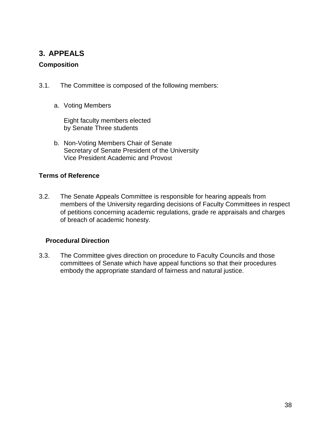# <span id="page-42-0"></span>**3. APPEALS**

# <span id="page-42-1"></span>**Composition**

- 3.1. The Committee is composed of the following members:
	- a. Voting Members

Eight faculty members elected by Senate Three students

b. Non-Voting Members Chair of Senate Secretary of Senate President of the University Vice President Academic and Provost

# <span id="page-42-2"></span>**Terms of Reference**

3.2. The Senate Appeals Committee is responsible for hearing appeals from members of the University regarding decisions of Faculty Committees in respect of petitions concerning academic regulations, grade re appraisals and charges of breach of academic honesty.

# **Procedural Direction**

3.3. The Committee gives direction on procedure to Faculty Councils and those committees of Senate which have appeal functions so that their procedures embody the appropriate standard of fairness and natural justice.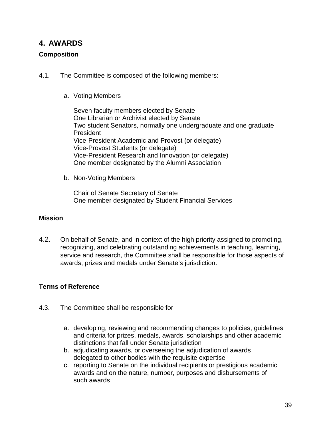# <span id="page-43-0"></span>**4. AWARDS**

# <span id="page-43-1"></span>**Composition**

- 4.1. The Committee is composed of the following members:
	- a. Voting Members

Seven faculty members elected by Senate One Librarian or Archivist elected by Senate Two student Senators, normally one undergraduate and one graduate President Vice-President Academic and Provost (or delegate) Vice-Provost Students (or delegate) Vice-President Research and Innovation (or delegate) One member designated by the Alumni Association

b. Non-Voting Members

Chair of Senate Secretary of Senate One member designated by Student Financial Services

# <span id="page-43-2"></span>**Mission**

4.2. On behalf of Senate, and in context of the high priority assigned to promoting, recognizing, and celebrating outstanding achievements in teaching, learning, service and research, the Committee shall be responsible for those aspects of awards, prizes and medals under Senate's jurisdiction.

# <span id="page-43-3"></span>**Terms of Reference**

- 4.3. The Committee shall be responsible for
	- a. developing, reviewing and recommending changes to policies, guidelines and criteria for prizes, medals, awards, scholarships and other academic distinctions that fall under Senate jurisdiction
	- b. adjudicating awards, or overseeing the adjudication of awards delegated to other bodies with the requisite expertise
	- c. reporting to Senate on the individual recipients or prestigious academic awards and on the nature, number, purposes and disbursements of such awards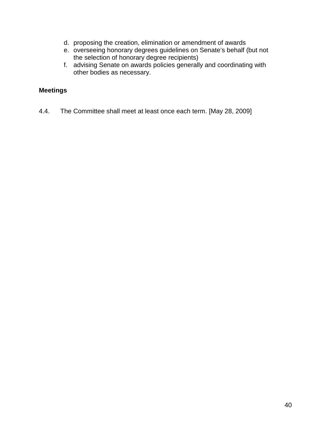- d. proposing the creation, elimination or amendment of awards
- e. overseeing honorary degrees guidelines on Senate's behalf (but not the selection of honorary degree recipients)
- f. advising Senate on awards policies generally and coordinating with other bodies as necessary.

# <span id="page-44-0"></span>**Meetings**

4.4. The Committee shall meet at least once each term. [May 28, 2009]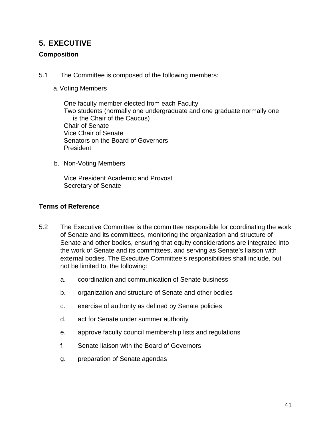# <span id="page-45-0"></span>**5. EXECUTIVE**

# <span id="page-45-1"></span>**Composition**

5.1 The Committee is composed of the following members:

# a.Voting Members

One faculty member elected from each Faculty Two students (normally one undergraduate and one graduate normally one is the Chair of the Caucus) Chair of Senate Vice Chair of Senate Senators on the Board of Governors President

b. Non-Voting Members

Vice President Academic and Provost Secretary of Senate

# <span id="page-45-2"></span>**Terms of Reference**

- 5.2 The Executive Committee is the committee responsible for coordinating the work of Senate and its committees, monitoring the organization and structure of Senate and other bodies, ensuring that equity considerations are integrated into the work of Senate and its committees, and serving as Senate's liaison with external bodies. The Executive Committee's responsibilities shall include, but not be limited to, the following:
	- a. coordination and communication of Senate business
	- b. organization and structure of Senate and other bodies
	- c. exercise of authority as defined by Senate policies
	- d. act for Senate under summer authority
	- e. approve faculty council membership lists and regulations
	- f. Senate liaison with the Board of Governors
	- g. preparation of Senate agendas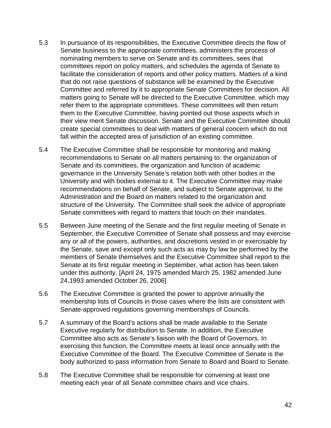- 5.3 In pursuance of its responsibilities, the Executive Committee directs the flow of Senate business to the appropriate committees, administers the process of nominating members to serve on Senate and its committees, sees that committees report on policy matters, and schedules the agenda of Senate to facilitate the consideration of reports and other policy matters. Matters of a kind that do not raise questions of substance will be examined by the Executive Committee and referred by it to appropriate Senate Committees for decision. All matters going to Senate will be directed to the Executive Committee, which may refer them to the appropriate committees. These committees will then return them to the Executive Committee, having pointed out those aspects which in their view merit Senate discussion. Senate and the Executive Committee should create special committees to deal with matters of general concern which do not fall within the accepted area of jurisdiction of an existing committee.
- 5.4 The Executive Committee shall be responsible for monitoring and making recommendations to Senate on all matters pertaining to: the organization of Senate and its committees, the organization and function of academic governance in the University Senate's relation both with other bodies in the University and with bodies external to it. The Executive Committee may make recommendations on behalf of Senate, and subject to Senate approval, to the Administration and the Board on matters related to the organization and structure of the University. The Committee shall seek the advice of appropriate Senate committees with regard to matters that touch on their mandates.
- 5.5 Between June meeting of the Senate and the first regular meeting of Senate in September, the Executive Committee of Senate shall possess and may exercise any or all of the powers, authorities, and discretions vested in or exercisable by the Senate, save and except only such acts as may by law be performed by the members of Senate themselves and the Executive Committee shall report to the Senate at its first regular meeting in September, what action has been taken under this authority. [April 24, 1975 amended March 25, 1982 amended June 24,1993 amended October 26, 2006]
- 5.6 The Executive Committee is granted the power to approve annually the membership lists of Councils in those cases where the lists are consistent with Senate-approved regulations governing memberships of Councils.
- 5.7 A summary of the Board's actions shall be made available to the Senate Executive regularly for distribution to Senate. In addition, the Executive Committee also acts as Senate's liaison with the Board of Governors. In exercising this function, the Committee meets at least once annually with the Executive Committee of the Board. The Executive Committee of Senate is the body authorized to pass information from Senate to Board and Board to Senate.
- 5.8 The Executive Committee shall be responsible for convening at least one meeting each year of all Senate committee chairs and vice chairs.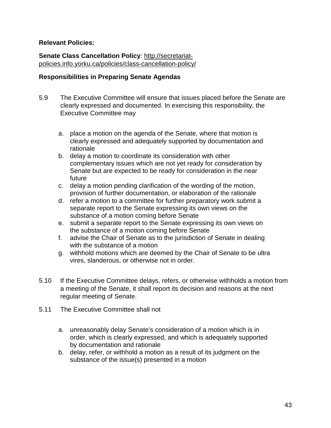# **Relevant Policies:**

**Senate Class Cancellation Policy**: [http://secretariat](http://secretariat-policies.info.yorku.ca/policies/class-cancellation-policy/)[policies.info.yorku.ca/policies/class-cancellation-policy/](http://secretariat-policies.info.yorku.ca/policies/class-cancellation-policy/)

#### <span id="page-47-0"></span>**Responsibilities in Preparing Senate Agendas**

- 5.9 The Executive Committee will ensure that issues placed before the Senate are clearly expressed and documented. In exercising this responsibility, the Executive Committee may
	- a. place a motion on the agenda of the Senate, where that motion is clearly expressed and adequately supported by documentation and rationale
	- b. delay a motion to coordinate its consideration with other complementary issues which are not yet ready for consideration by Senate but are expected to be ready for consideration in the near future
	- c. delay a motion pending clarification of the wording of the motion, provision of further documentation, or elaboration of the rationale
	- d. refer a motion to a committee for further preparatory work submit a separate report to the Senate expressing its own views on the substance of a motion coming before Senate
	- e. submit a separate report to the Senate expressing its own views on the substance of a motion coming before Senate
	- f. advise the Chair of Senate as to the jurisdiction of Senate in dealing with the substance of a motion
	- g. withhold motions which are deemed by the Chair of Senate to be ultra vires, slanderous, or otherwise not in order.
- 5.10 If the Executive Committee delays, refers, or otherwise withholds a motion from a meeting of the Senate, it shall report its decision and reasons at the next regular meeting of Senate.
- 5.11 The Executive Committee shall not
	- a. unreasonably delay Senate's consideration of a motion which is in order, which is clearly expressed, and which is adequately supported by documentation and rationale
	- b. delay, refer, or withhold a motion as a result of its judgment on the substance of the issue(s) presented in a motion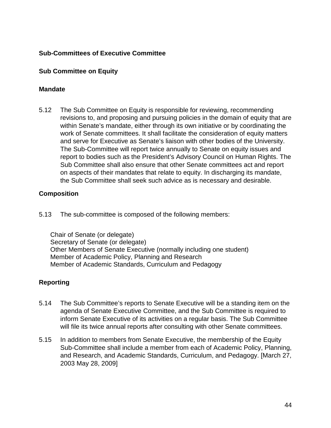# <span id="page-48-0"></span>**Sub-Committees of Executive Committee**

# <span id="page-48-1"></span>**Sub Committee on Equity**

#### <span id="page-48-2"></span>**Mandate**

5.12 The Sub Committee on Equity is responsible for reviewing, recommending revisions to, and proposing and pursuing policies in the domain of equity that are within Senate's mandate, either through its own initiative or by coordinating the work of Senate committees. It shall facilitate the consideration of equity matters and serve for Executive as Senate's liaison with other bodies of the University. The Sub-Committee will report twice annually to Senate on equity issues and report to bodies such as the President's Advisory Council on Human Rights. The Sub Committee shall also ensure that other Senate committees act and report on aspects of their mandates that relate to equity. In discharging its mandate, the Sub Committee shall seek such advice as is necessary and desirable.

# <span id="page-48-3"></span>**Composition**

5.13 The sub-committee is composed of the following members:

Chair of Senate (or delegate) Secretary of Senate (or delegate) Other Members of Senate Executive (normally including one student) Member of Academic Policy, Planning and Research Member of Academic Standards, Curriculum and Pedagogy

# <span id="page-48-4"></span>**Reporting**

- 5.14 The Sub Committee's reports to Senate Executive will be a standing item on the agenda of Senate Executive Committee, and the Sub Committee is required to inform Senate Executive of its activities on a regular basis. The Sub Committee will file its twice annual reports after consulting with other Senate committees.
- 5.15 In addition to members from Senate Executive, the membership of the Equity Sub-Committee shall include a member from each of Academic Policy, Planning, and Research, and Academic Standards, Curriculum, and Pedagogy. [March 27, 2003 May 28, 2009]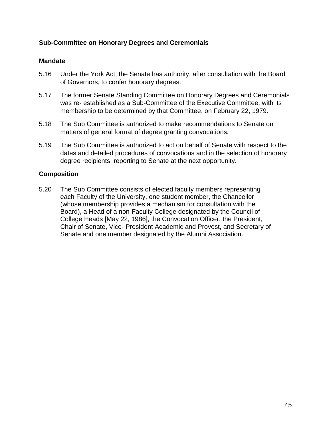# <span id="page-49-0"></span>**Sub-Committee on Honorary Degrees and Ceremonials**

#### <span id="page-49-1"></span>**Mandate**

- 5.16 Under the York Act, the Senate has authority, after consultation with the Board of Governors, to confer honorary degrees.
- 5.17 The former Senate Standing Committee on Honorary Degrees and Ceremonials was re- established as a Sub-Committee of the Executive Committee, with its membership to be determined by that Committee, on February 22, 1979.
- 5.18 The Sub Committee is authorized to make recommendations to Senate on matters of general format of degree granting convocations.
- 5.19 The Sub Committee is authorized to act on behalf of Senate with respect to the dates and detailed procedures of convocations and in the selection of honorary degree recipients, reporting to Senate at the next opportunity.

#### <span id="page-49-2"></span>**Composition**

5.20 The Sub Committee consists of elected faculty members representing each Faculty of the University, one student member, the Chancellor (whose membership provides a mechanism for consultation with the Board), a Head of a non-Faculty College designated by the Council of College Heads [May 22, 1986], the Convocation Officer, the President, Chair of Senate, Vice- President Academic and Provost, and Secretary of Senate and one member designated by the Alumni Association.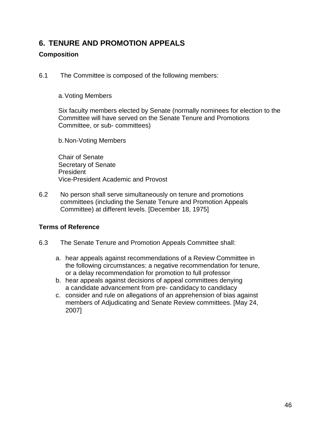# <span id="page-50-0"></span>**6. TENURE AND PROMOTION APPEALS**

# <span id="page-50-1"></span>**Composition**

6.1 The Committee is composed of the following members:

# a.Voting Members

Six faculty members elected by Senate (normally nominees for election to the Committee will have served on the Senate Tenure and Promotions Committee, or sub- committees)

b.Non-Voting Members

Chair of Senate Secretary of Senate President Vice-President Academic and Provost

6.2 No person shall serve simultaneously on tenure and promotions committees (including the Senate Tenure and Promotion Appeals Committee) at different levels. [December 18, 1975]

# <span id="page-50-2"></span>**Terms of Reference**

- 6.3 The Senate Tenure and Promotion Appeals Committee shall:
	- a. hear appeals against recommendations of a Review Committee in the following circumstances: a negative recommendation for tenure, or a delay recommendation for promotion to full professor
	- b. hear appeals against decisions of appeal committees denying a candidate advancement from pre- candidacy to candidacy
	- c. consider and rule on allegations of an apprehension of bias against members of Adjudicating and Senate Review committees. [May 24, 2007]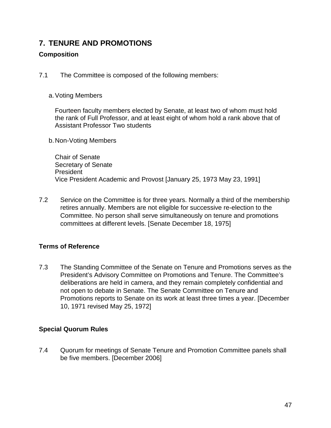# <span id="page-51-0"></span>**7. TENURE AND PROMOTIONS**

# <span id="page-51-1"></span>**Composition**

7.1 The Committee is composed of the following members:

#### a.Voting Members

Fourteen faculty members elected by Senate, at least two of whom must hold the rank of Full Professor, and at least eight of whom hold a rank above that of Assistant Professor Two students

b.Non-Voting Members

Chair of Senate Secretary of Senate President Vice President Academic and Provost [January 25, 1973 May 23, 1991]

7.2 Service on the Committee is for three years. Normally a third of the membership retires annually. Members are not eligible for successive re-election to the Committee. No person shall serve simultaneously on tenure and promotions committees at different levels. [Senate December 18, 1975]

# <span id="page-51-2"></span>**Terms of Reference**

7.3 The Standing Committee of the Senate on Tenure and Promotions serves as the President's Advisory Committee on Promotions and Tenure. The Committee's deliberations are held in camera, and they remain completely confidential and not open to debate in Senate. The Senate Committee on Tenure and Promotions reports to Senate on its work at least three times a year. [December 10, 1971 revised May 25, 1972]

# <span id="page-51-3"></span>**Special Quorum Rules**

7.4 Quorum for meetings of Senate Tenure and Promotion Committee panels shall be five members. [December 2006]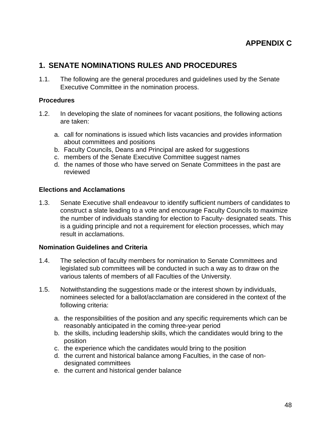# **APPENDIX C**

# <span id="page-52-1"></span><span id="page-52-0"></span>**1. SENATE NOMINATIONS RULES AND PROCEDURES**

1.1. The following are the general procedures and guidelines used by the Senate Executive Committee in the nomination process.

# <span id="page-52-2"></span>**Procedures**

- 1.2. In developing the slate of nominees for vacant positions, the following actions are taken:
	- a. call for nominations is issued which lists vacancies and provides information about committees and positions
	- b. Faculty Councils, Deans and Principal are asked for suggestions
	- c. members of the Senate Executive Committee suggest names
	- d. the names of those who have served on Senate Committees in the past are reviewed

# <span id="page-52-3"></span>**Elections and Acclamations**

1.3. Senate Executive shall endeavour to identify sufficient numbers of candidates to construct a slate leading to a vote and encourage Faculty Councils to maximize the number of individuals standing for election to Faculty- designated seats. This is a guiding principle and not a requirement for election processes, which may result in acclamations.

#### <span id="page-52-4"></span>**Nomination Guidelines and Criteria**

- 1.4. The selection of faculty members for nomination to Senate Committees and legislated sub committees will be conducted in such a way as to draw on the various talents of members of all Faculties of the University.
- 1.5. Notwithstanding the suggestions made or the interest shown by individuals, nominees selected for a ballot/acclamation are considered in the context of the following criteria:
	- a. the responsibilities of the position and any specific requirements which can be reasonably anticipated in the coming three-year period
	- b. the skills, including leadership skills, which the candidates would bring to the position
	- c. the experience which the candidates would bring to the position
	- d. the current and historical balance among Faculties, in the case of nondesignated committees
	- e. the current and historical gender balance